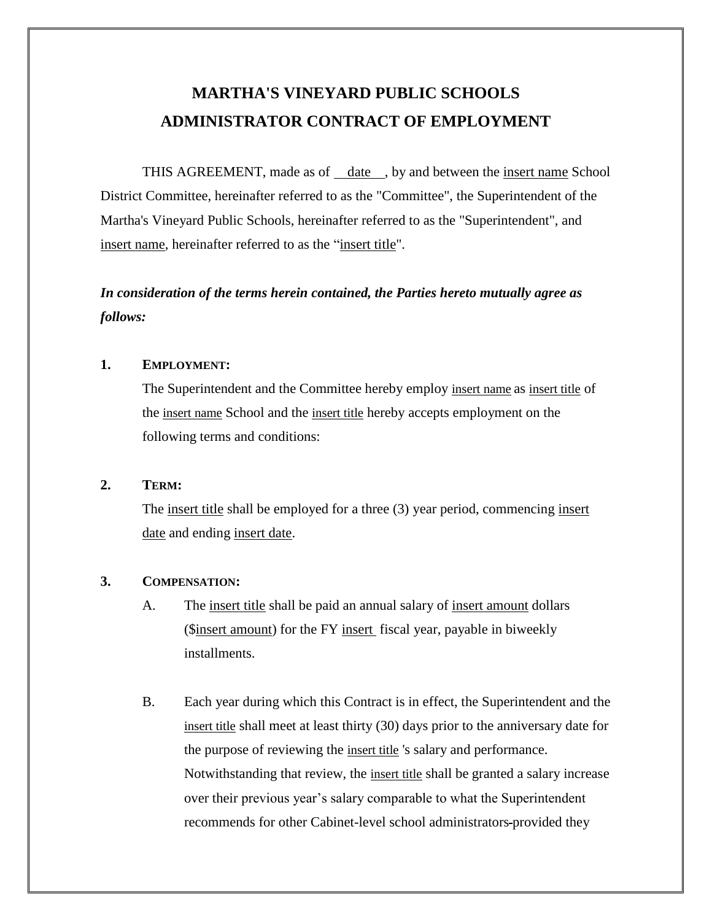# **MARTHA'S VINEYARD PUBLIC SCHOOLS ADMINISTRATOR CONTRACT OF EMPLOYMENT**

THIS AGREEMENT, made as of date , by and between the insert name School District Committee, hereinafter referred to as the "Committee", the Superintendent of the Martha's Vineyard Public Schools, hereinafter referred to as the "Superintendent", and insert name, hereinafter referred to as the "insert title".

# *In consideration of the terms herein contained, the Parties hereto mutually agree as follows:*

#### **1. EMPLOYMENT:**

The Superintendent and the Committee hereby employ insert name as insert title of the insert name School and the insert title hereby accepts employment on the following terms and conditions:

#### **2. TERM:**

The insert title shall be employed for a three (3) year period, commencing insert date and ending insert date.

#### **3. COMPENSATION:**

- A. The insert title shall be paid an annual salary of insert amount dollars (\$insert amount) for the FY insert fiscal year, payable in biweekly installments.
- B. Each year during which this Contract is in effect, the Superintendent and the insert title shall meet at least thirty (30) days prior to the anniversary date for the purpose of reviewing the insert title 's salary and performance. Notwithstanding that review, the insert title shall be granted a salary increase over their previous year's salary comparable to what the Superintendent recommends for other Cabinet-level school administrators provided they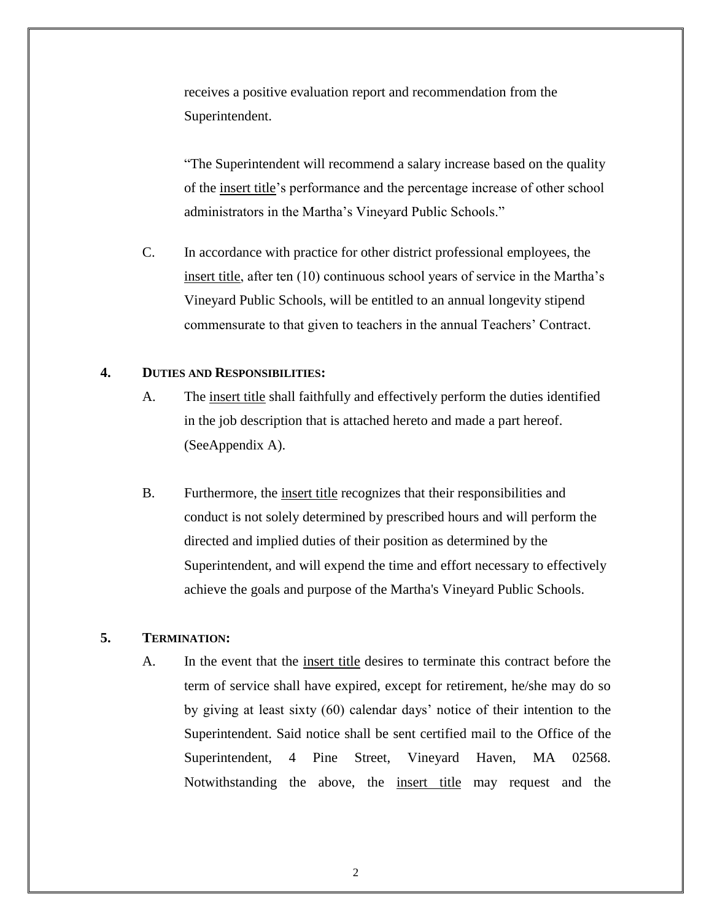receives a positive evaluation report and recommendation from the Superintendent.

"The Superintendent will recommend a salary increase based on the quality of the insert title's performance and the percentage increase of other school administrators in the Martha's Vineyard Public Schools."

C. In accordance with practice for other district professional employees, the insert title, after ten (10) continuous school years of service in the Martha's Vineyard Public Schools, will be entitled to an annual longevity stipend commensurate to that given to teachers in the annual Teachers' Contract.

#### **4. DUTIES AND RESPONSIBILITIES:**

- A. The insert title shall faithfully and effectively perform the duties identified in the job description that is attached hereto and made a part hereof. (SeeAppendix A).
- B. Furthermore, the insert title recognizes that their responsibilities and conduct is not solely determined by prescribed hours and will perform the directed and implied duties of their position as determined by the Superintendent, and will expend the time and effort necessary to effectively achieve the goals and purpose of the Martha's Vineyard Public Schools.

#### **5. TERMINATION:**

A. In the event that the insert title desires to terminate this contract before the term of service shall have expired, except for retirement, he/she may do so by giving at least sixty (60) calendar days' notice of their intention to the Superintendent. Said notice shall be sent certified mail to the Office of the Superintendent, 4 Pine Street, Vineyard Haven, MA 02568. Notwithstanding the above, the insert title may request and the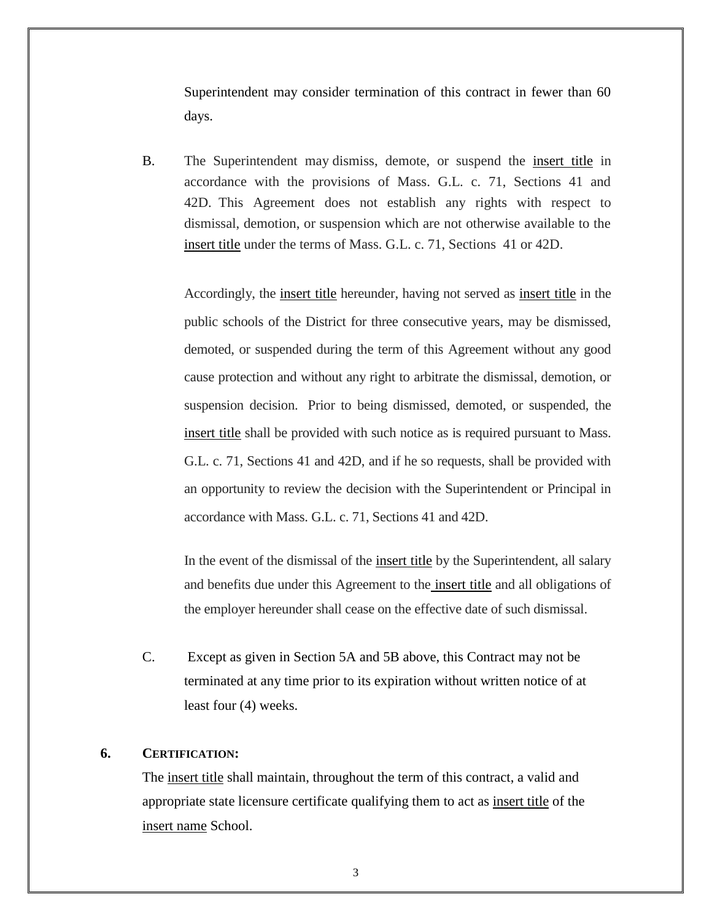Superintendent may consider termination of this contract in fewer than 60 days.

B. The Superintendent may dismiss, demote, or suspend the insert title in accordance with the provisions of Mass. G.L. c. 71, Sections 41 and 42D. This Agreement does not establish any rights with respect to dismissal, demotion, or suspension which are not otherwise available to the insert title under the terms of Mass. G.L. c. 71, Sections 41 or 42D.

Accordingly, the insert title hereunder, having not served as insert title in the public schools of the District for three consecutive years, may be dismissed, demoted, or suspended during the term of this Agreement without any good cause protection and without any right to arbitrate the dismissal, demotion, or suspension decision. Prior to being dismissed, demoted, or suspended, the insert title shall be provided with such notice as is required pursuant to Mass. G.L. c. 71, Sections 41 and 42D, and if he so requests, shall be provided with an opportunity to review the decision with the Superintendent or Principal in accordance with Mass. G.L. c. 71, Sections 41 and 42D.

In the event of the dismissal of the insert title by the Superintendent, all salary and benefits due under this Agreement to the insert title and all obligations of the employer hereunder shall cease on the effective date of such dismissal.

C. Except as given in Section 5A and 5B above, this Contract may not be terminated at any time prior to its expiration without written notice of at least four (4) weeks.

#### **6. CERTIFICATION:**

The insert title shall maintain, throughout the term of this contract, a valid and appropriate state licensure certificate qualifying them to act as insert title of the insert name School.

3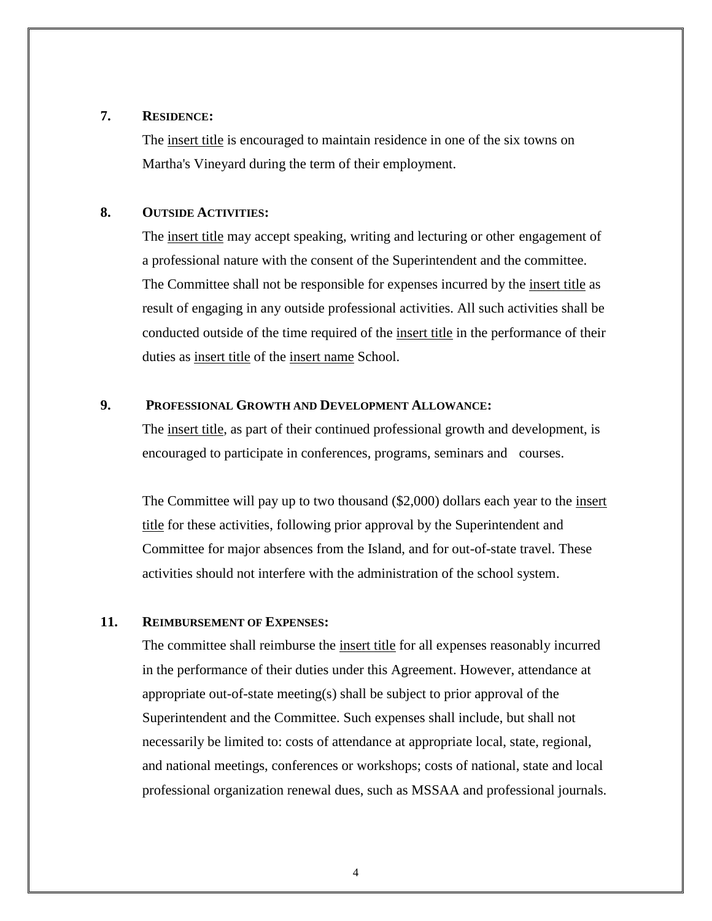#### **7. RESIDENCE:**

The insert title is encouraged to maintain residence in one of the six towns on Martha's Vineyard during the term of their employment.

#### **8. OUTSIDE ACTIVITIES:**

The insert title may accept speaking, writing and lecturing or other engagement of a professional nature with the consent of the Superintendent and the committee. The Committee shall not be responsible for expenses incurred by the insert title as result of engaging in any outside professional activities. All such activities shall be conducted outside of the time required of the insert title in the performance of their duties as insert title of the insert name School.

#### **9. PROFESSIONAL GROWTH AND DEVELOPMENT ALLOWANCE:**

The insert title, as part of their continued professional growth and development, is encouraged to participate in conferences, programs, seminars and courses.

The Committee will pay up to two thousand (\$2,000) dollars each year to the insert title for these activities, following prior approval by the Superintendent and Committee for major absences from the Island, and for out-of-state travel. These activities should not interfere with the administration of the school system.

#### **11. REIMBURSEMENT OF EXPENSES:**

The committee shall reimburse the insert title for all expenses reasonably incurred in the performance of their duties under this Agreement. However, attendance at appropriate out-of-state meeting(s) shall be subject to prior approval of the Superintendent and the Committee. Such expenses shall include, but shall not necessarily be limited to: costs of attendance at appropriate local, state, regional, and national meetings, conferences or workshops; costs of national, state and local professional organization renewal dues, such as MSSAA and professional journals.

4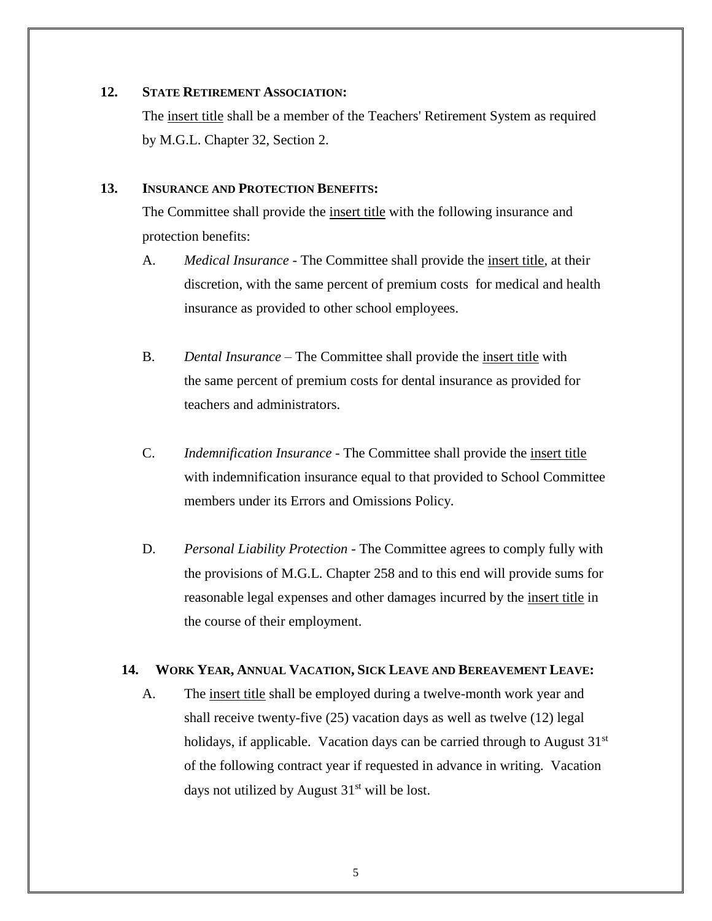#### **12. STATE RETIREMENT ASSOCIATION:**

The insert title shall be a member of the Teachers' Retirement System as required by M.G.L. Chapter 32, Section 2.

#### **13. INSURANCE AND PROTECTION BENEFITS:**

The Committee shall provide the insert title with the following insurance and protection benefits:

- A. *Medical Insurance* The Committee shall provide the insert title, at their discretion, with the same percent of premium costs for medical and health insurance as provided to other school employees.
- B. *Dental Insurance* The Committee shall provide the insert title with the same percent of premium costs for dental insurance as provided for teachers and administrators.
- C. *Indemnification Insurance* The Committee shall provide the insert title with indemnification insurance equal to that provided to School Committee members under its Errors and Omissions Policy.
- D. *Personal Liability Protection* The Committee agrees to comply fully with the provisions of M.G.L. Chapter 258 and to this end will provide sums for reasonable legal expenses and other damages incurred by the insert title in the course of their employment.

#### **14. WORK YEAR, ANNUAL VACATION, SICK LEAVE AND BEREAVEMENT LEAVE:**

A. The <u>insert title</u> shall be employed during a twelve-month work year and shall receive twenty-five (25) vacation days as well as twelve (12) legal holidays, if applicable. Vacation days can be carried through to August  $31<sup>st</sup>$ of the following contract year if requested in advance in writing. Vacation days not utilized by August  $31<sup>st</sup>$  will be lost.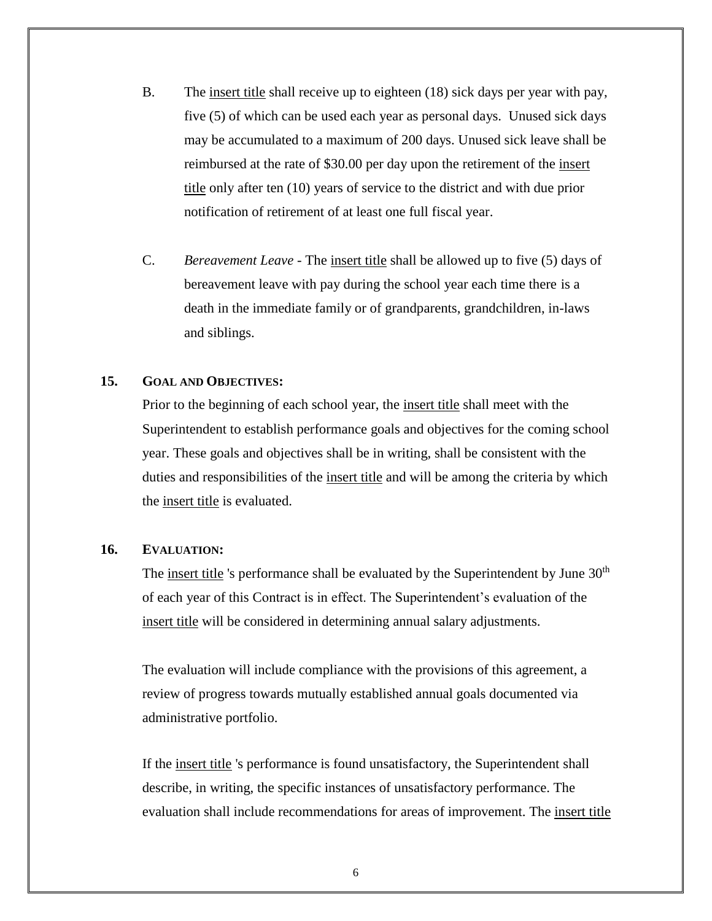- B. The insert title shall receive up to eighteen (18) sick days per year with pay, five (5) of which can be used each year as personal days. Unused sick days may be accumulated to a maximum of 200 days. Unused sick leave shall be reimbursed at the rate of \$30.00 per day upon the retirement of the insert title only after ten (10) years of service to the district and with due prior notification of retirement of at least one full fiscal year.
- C. *Bereavement Leave* The insert title shall be allowed up to five (5) days of bereavement leave with pay during the school year each time there is a death in the immediate family or of grandparents, grandchildren, in-laws and siblings.

#### **15. GOAL AND OBJECTIVES:**

Prior to the beginning of each school year, the insert title shall meet with the Superintendent to establish performance goals and objectives for the coming school year. These goals and objectives shall be in writing, shall be consistent with the duties and responsibilities of the insert title and will be among the criteria by which the insert title is evaluated.

#### **16. EVALUATION:**

The insert title 's performance shall be evaluated by the Superintendent by June 30<sup>th</sup> of each year of this Contract is in effect. The Superintendent's evaluation of the insert title will be considered in determining annual salary adjustments.

The evaluation will include compliance with the provisions of this agreement, a review of progress towards mutually established annual goals documented via administrative portfolio.

If the insert title 's performance is found unsatisfactory, the Superintendent shall describe, in writing, the specific instances of unsatisfactory performance. The evaluation shall include recommendations for areas of improvement. The insert title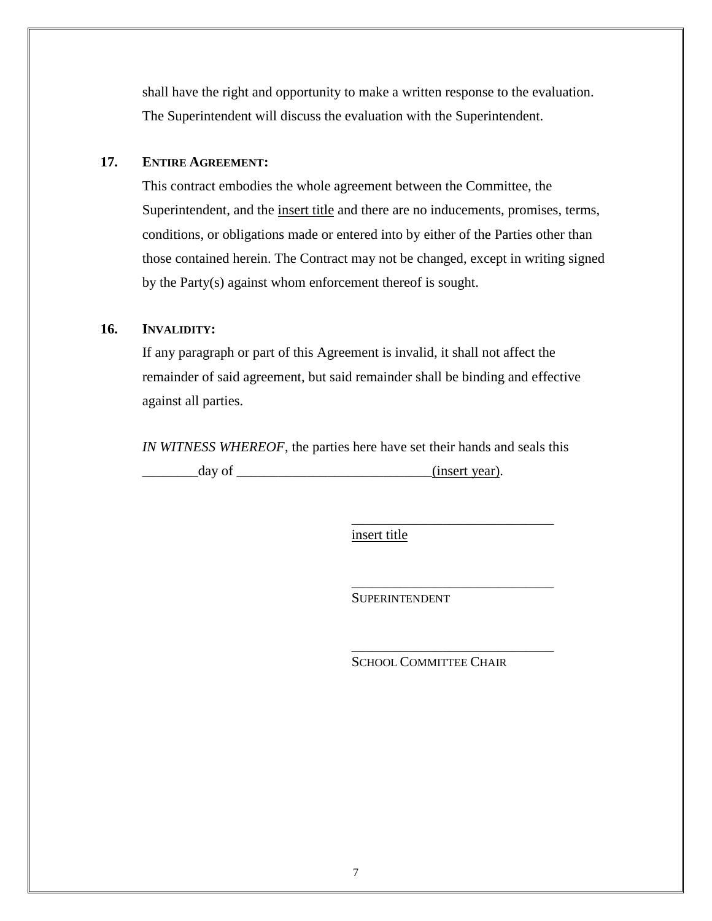shall have the right and opportunity to make a written response to the evaluation. The Superintendent will discuss the evaluation with the Superintendent.

#### **17. ENTIRE AGREEMENT:**

This contract embodies the whole agreement between the Committee, the Superintendent, and the insert title and there are no inducements, promises, terms, conditions, or obligations made or entered into by either of the Parties other than those contained herein. The Contract may not be changed, except in writing signed by the Party(s) against whom enforcement thereof is sought.

#### **16. INVALIDITY:**

If any paragraph or part of this Agreement is invalid, it shall not affect the remainder of said agreement, but said remainder shall be binding and effective against all parties.

*IN WITNESS WHEREOF*, the parties here have set their hands and seals this day of \_\_\_\_\_\_\_\_\_\_\_\_\_\_\_\_\_\_\_\_\_\_\_\_\_\_\_\_\_\_\_\_(insert year).

insert title

**SUPERINTENDENT** 

SCHOOL COMMITTEE CHAIR

\_\_\_\_\_\_\_\_\_\_\_\_\_\_\_\_\_\_\_\_\_\_\_\_\_\_\_\_\_

\_\_\_\_\_\_\_\_\_\_\_\_\_\_\_\_\_\_\_\_\_\_\_\_\_\_\_\_\_

\_\_\_\_\_\_\_\_\_\_\_\_\_\_\_\_\_\_\_\_\_\_\_\_\_\_\_\_\_